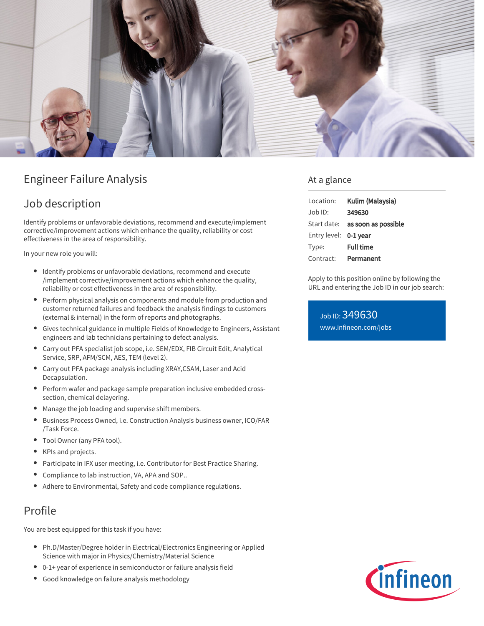

# Engineer Failure Analysis

# Job description

Identify problems or unfavorable deviations, recommend and execute/implement corrective/improvement actions which enhance the quality, reliability or cost effectiveness in the area of responsibility.

In your new role you will:

- Identify problems or unfavorable deviations, recommend and execute /implement corrective/improvement actions which enhance the quality, reliability or cost effectiveness in the area of responsibility.
- Perform physical analysis on components and module from production and customer returned failures and feedback the analysis findings to customers (external & internal) in the form of reports and photographs.
- Gives technical guidance in multiple Fields of Knowledge to Engineers, Assistant engineers and lab technicians pertaining to defect analysis.
- Carry out PFA specialist job scope, i.e. SEM/EDX, FIB Circuit Edit, Analytical Service, SRP, AFM/SCM, AES, TEM (level 2).
- Carry out PFA package analysis including XRAY,CSAM, Laser and Acid Decapsulation.
- Perform wafer and package sample preparation inclusive embedded crosssection, chemical delayering.
- Manage the job loading and supervise shift members.
- Business Process Owned, i.e. Construction Analysis business owner, ICO/FAR /Task Force.
- Tool Owner (any PFA tool).
- $\bullet$ KPIs and projects.
- Participate in IFX user meeting, i.e. Contributor for Best Practice Sharing.
- Compliance to lab instruction, VA, APA and SOP..
- Adhere to Environmental, Safety and code compliance regulations.

## Profile

You are best equipped for this task if you have:

- Ph.D/Master/Degree holder in Electrical/Electronics Engineering or Applied Science with major in Physics/Chemistry/Material Science
- 0-1+ year of experience in semiconductor or failure analysis field
- Good knowledge on failure analysis methodology

### At a glance

| Location:             | Kulim (Malaysia)                       |
|-----------------------|----------------------------------------|
| $Joh$ ID:             | 349630                                 |
|                       | Start date: <b>as soon as possible</b> |
| Entry level: 0-1 year |                                        |
| Type:                 | <b>Full time</b>                       |
| Contract:             | Permanent                              |

Apply to this position online by following the URL and entering the Job ID in our job search:

Job ID: 349630 [www.infineon.com/jobs](https://www.infineon.com/jobs)